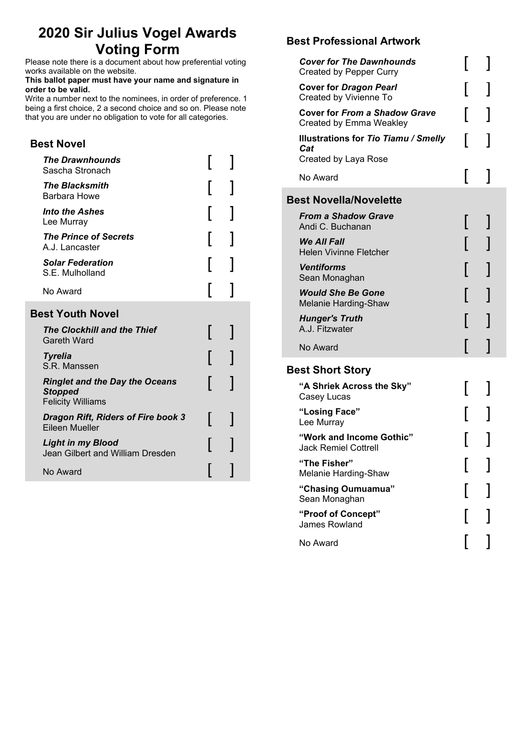# **2020 Sir Julius Vogel Awards Voting Form**

Please note there is a document about how preferential voting works available on the website.

#### **This ballot paper must have your name and signature in order to be valid.**

Write a number next to the nominees, in order of preference. 1 being a first choice, 2 a second choice and so on. Please note that you are under no obligation to vote for all categories.

## **Best Novel**

| <b>The Drawnhounds</b><br>Sascha Stronach                                           |  |  |  |  |
|-------------------------------------------------------------------------------------|--|--|--|--|
| <b>The Blacksmith</b><br>Barbara Howe                                               |  |  |  |  |
| <b>Into the Ashes</b><br>Lee Murray                                                 |  |  |  |  |
| <b>The Prince of Secrets</b><br>A.J. Lancaster                                      |  |  |  |  |
| <b>Solar Federation</b><br>S.E. Mulholland                                          |  |  |  |  |
| No Award                                                                            |  |  |  |  |
| <b>Best Youth Novel</b>                                                             |  |  |  |  |
| The Clockhill and the Thief<br>Gareth Ward                                          |  |  |  |  |
| <b>Tyrelia</b><br>S.R. Manssen                                                      |  |  |  |  |
| <b>Ringlet and the Day the Oceans</b><br><b>Stopped</b><br><b>Felicity Williams</b> |  |  |  |  |
| <b>Dragon Rift, Riders of Fire book 3</b><br>Eileen Mueller                         |  |  |  |  |
| <b>Light in my Blood</b><br>Jean Gilbert and William Dresden                        |  |  |  |  |
| No Award                                                                            |  |  |  |  |

## **Best Professional Artwork**

| <b>Cover for The Dawnhounds</b><br><b>Created by Pepper Curry</b>          |  |
|----------------------------------------------------------------------------|--|
| <b>Cover for Dragon Pearl</b><br>Created by Vivienne To                    |  |
| <b>Cover for From a Shadow Grave</b><br>Created by Emma Weakley            |  |
| <b>Illustrations for Tio Tiamu / Smelly</b><br>Cat<br>Created by Laya Rose |  |
| No Award                                                                   |  |
| <b>Best Novella/Novelette</b>                                              |  |
| <b>From a Shadow Grave</b><br>Andi C. Buchanan                             |  |
| We All Fall<br><b>Helen Vivinne Fletcher</b>                               |  |
| <b>Ventiforms</b><br>Sean Monaghan                                         |  |
| <b>Would She Be Gone</b><br>Melanie Harding-Shaw                           |  |
| <b>Hunger's Truth</b><br>A.J. Fitzwater                                    |  |
| No Award                                                                   |  |
| <b>Best Short Story</b>                                                    |  |
| "A Shriek Across the Sky"<br>Casey Lucas                                   |  |
| "Losing Face"<br>Lee Murray                                                |  |
| "Work and Income Gothic"<br><b>Jack Remiel Cottrell</b>                    |  |
| "The Fisher"<br>Melanie Harding-Shaw                                       |  |
| "Chasing Oumuamua"<br>Sean Monaghan                                        |  |
| "Proof of Concept"<br>James Rowland                                        |  |
| No Award                                                                   |  |